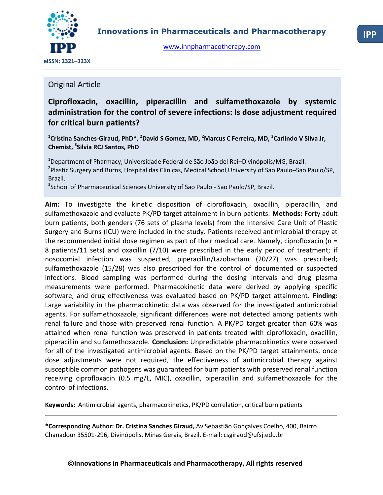

[www.innpharmacotherapy.com](http://www.innpharmacotherapy.com/)

# Original Article

**Ciprofloxacin, oxacillin, piperacillin and sulfamethoxazole by systemic administration for the control of severe infections: Is dose adjustment required for critical burn patients?**

**1 Cristina Sanches-Giraud, PhD\*, <sup>2</sup>David S Gomez, MD, <sup>2</sup>Marcus C Ferreira, MD, <sup>3</sup> Carlindo V Silva Jr, Chemist, <sup>3</sup> Silvia RCJ Santos, PhD**

<sup>2</sup> Plastic Surgery and Burns, Hospital das Clinicas, Medical School, University of Sao Paulo–Sao Paulo/SP, <sup>1</sup>Department of Pharmacy, Universidade Federal de São João del Rei–Divinópolis/MG, Brazil. Brazil.

<sup>3</sup> School of Pharmaceutical Sciences University of Sao Paulo - Sao Paulo/SP, Brazil.

**Aim:** To investigate the kinetic disposition of ciprofloxacin, oxacillin, piperacillin, and sulfamethoxazole and evaluate PK/PD target attainment in burn patients. **Methods:** Forty adult burn patients, both genders (76 sets of plasma levels) from the Intensive Care Unit of Plastic Surgery and Burns (ICU) were included in the study. Patients received antimicrobial therapy at the recommended initial dose regimen as part of their medical care. Namely, ciprofloxacin ( $n =$ 8 patients/11 sets) and oxacillin (7/10) were prescribed in the early period of treatment; if nosocomial infection was suspected, piperacillin/tazobactam (20/27) was prescribed; sulfamethoxazole (15/28) was also prescribed for the control of documented or suspected infections. Blood sampling was performed during the dosing intervals and drug plasma measurements were performed. Pharmacokinetic data were derived by applying specific software, and drug effectiveness was evaluated based on PK/PD target attainment. **Finding:** Large variability in the pharmacokinetic data was observed for the investigated antimicrobial agents. For sulfamethoxazole, significant differences were not detected among patients with renal failure and those with preserved renal function. A PK/PD target greater than 60% was attained when renal function was preserved in patients treated with ciprofloxacin, oxacillin, piperacillin and sulfamethoxazole. **Conclusion:** Unpredictable pharmacokinetics were observed for all of the investigated antimicrobial agents. Based on the PK/PD target attainments, once dose adjustments were not required, the effectiveness of antimicrobial therapy against susceptible common pathogens was guaranteed for burn patients with preserved renal function receiving ciprofloxacin (0.5 mg/L, MIC), oxacillin, piperacillin and sulfamethoxazole for the control of infections.

**Keywords:** Antimicrobial agents, pharmacokinetics, PK/PD correlation, critical burn patients

**\*Corresponding Author: Dr. Cristina Sanches Giraud,** Av Sebastião Gonçalves Coelho, 400, Bairro Chanadour 35501-296, Divinópolis, Minas Gerais, Brazil. E-mail: csgiraud@ufsj.edu.br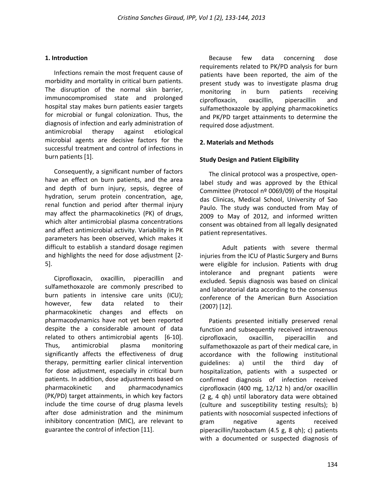### **1. Introduction**

Infections remain the most frequent cause of morbidity and mortality in critical burn patients. The disruption of the normal skin barrier, immunocompromised state and prolonged hospital stay makes burn patients easier targets for microbial or fungal colonization. Thus, the diagnosis of infection and early administration of antimicrobial therapy against etiological microbial agents are decisive factors for the successful treatment and control of infections in burn patients [1].

Consequently, a significant number of factors have an effect on burn patients, and the area and depth of burn injury, sepsis, degree of hydration, serum protein concentration, age, renal function and period after thermal injury may affect the pharmacokinetics (PK) of drugs, which alter antimicrobial plasma concentrations and affect antimicrobial activity. Variability in PK parameters has been observed, which makes it difficult to establish a standard dosage regimen and highlights the need for dose adjustment [2- 5].

Ciprofloxacin, oxacillin, piperacillin and sulfamethoxazole are commonly prescribed to burn patients in intensive care units (ICU); however, few data related to their pharmacokinetic changes and effects on pharmacodynamics have not yet been reported despite the a considerable amount of data related to others antimicrobial agents [6-10]. Thus, antimicrobial plasma monitoring significantly affects the effectiveness of drug therapy, permitting earlier clinical intervention for dose adjustment, especially in critical burn patients. In addition, dose adjustments based on pharmacokinetic and pharmacodynamics (PK/PD) target attainments, in which key factors include the time course of drug plasma levels after dose administration and the minimum inhibitory concentration (MIC), are relevant to guarantee the control of infection [11].

Because few data concerning dose requirements related to PK/PD analysis for burn patients have been reported, the aim of the present study was to investigate plasma drug monitoring in burn patients receiving ciprofloxacin, oxacillin, piperacillin and sulfamethoxazole by applying pharmacokinetics and PK/PD target attainments to determine the required dose adjustment.

### **2. Materials and Methods**

### **Study Design and Patient Eligibility**

The clinical protocol was a prospective, openlabel study and was approved by the Ethical Committee (Protocol nº 0069/09) of the Hospital das Clinicas, Medical School, University of Sao Paulo. The study was conducted from May of 2009 to May of 2012, and informed written consent was obtained from all legally designated patient representatives.

Adult patients with severe thermal injuries from the ICU of Plastic Surgery and Burns were eligible for inclusion. Patients with drug intolerance and pregnant patients were excluded. Sepsis diagnosis was based on clinical and laboratorial data according to the consensus conference of the American Burn Association (2007) [12].

Patients presented initially preserved renal function and subsequently received intravenous ciprofloxacin, oxacillin, piperacillin and sulfamethoxazole as part of their medical care, in accordance with the following institutional guidelines: a) until the third day of hospitalization, patients with a suspected or confirmed diagnosis of infection received ciprofloxacin (400 mg, 12/12 h) and/or oxacillin (2 g, 4 qh) until laboratory data were obtained (culture and susceptibility testing results); b) patients with nosocomial suspected infections of gram negative agents received piperacillin/tazobactam (4.5 g, 8 qh); c) patients with a documented or suspected diagnosis of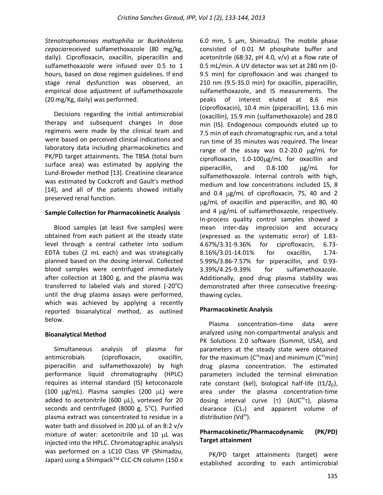*Stenotrophomonas maltophilia* or *Burkholderia cepacia*received sulfamethoxazole (80 mg/kg, daily). Ciprofloxacin, oxacillin, piperacillin and sulfamethoxazole were infused over 0.5 to 1 hours, based on dose regimen guidelines. If end stage renal dysfunction was observed, an empirical dose adjustment of sulfamethoxazole (20 mg/Kg, daily) was performed.

Decisions regarding the initial antimicrobial therapy and subsequent changes in dose regimens were made by the clinical team and were based on perceived clinical indications and laboratory data including pharmacokinetics and PK/PD target attainments. The TBSA (total burn surface area) was estimated by applying the Lund-Browder method [13]. Creatinine clearance was estimated by Cockcroft and Gault's method [14], and all of the patients showed initially preserved renal function.

### **Sample Collection for Pharmacokinetic Analysis**

Blood samples (at least five samples) were obtained from each patient at the steady state level through a central catheter into sodium EDTA tubes (2 mL each) and was strategically planned based on the dosing interval. Collected blood samples were centrifuged immediately after collection at 1800 g, and the plasma was transferred to labeled vials and stored  $(-20^{\circ}C)$ until the drug plasma assays were performed, which was achieved by applying a recently reported bioanalytical method, as outlined below.

# **Bioanalytical Method**

Simultaneous analysis of plasma for antimicrobials (ciprofloxacin, oxacillin, piperacillin and sulfamethoxazole) by high performance liquid chromatography (HPLC) requires as internal standard (IS) ketoconazole (100  $\mu$ g/mL). Plasma samples (200  $\mu$ L) were added to acetonitrile (600  $\mu$ L), vortexed for 20 seconds and centrifuged (8000 g,  $5^{\circ}$ C). Purified plasma extract was concentrated to residue in a water bath and dissolved in 200  $\mu$ L of an 8:2 v/v mixture of water: acetonitrile and  $10 \mu$ L was injected into the HPLC. Chromatographic analysis was performed on a LC10 Class VP (Shimadzu, Japan) using a Shimpack™ CLC-CN column (150 x

6.0 mm, 5 µm, Shimadzu). The mobile phase consisted of 0.01 M phosphate buffer and acetonitrile (68:32, pH 4.0,  $v/v$ ) at a flow rate of 0.5 mL/min. A UV detector was set at 280 nm (0- 9.5 min) for ciprofloxacin and was changed to 210 nm (9.5-35.0 min) for oxacillin, piperacillin, sulfamethoxazole, and IS measurements. The peaks of interest eluted at 8.6 min (ciprofloxacin), 10.4 min (piperacillin), 13.6 min (oxacillin), 15.9 min (sulfamethoxazole) and 28.0 min (IS). Endogenous compounds eluted up to 7.5 min of each chromatographic run, and a total run time of 35 minutes was required. The linear range of the assay was  $0.2$ -20.0  $\mu$ g/mL for  $ciproflox (in, 1.0-100  $\mu$ g/mL for  $ox (allin, and)$$ piperacillin, and 0.8-100 µg/mL for sulfamethoxazole. Internal controls with high, medium and low concentrations included 15, 8 and  $0.4 \mu$ g/mL of ciprofloxacin, 75, 40 and 2 µg/mL of oxacillin and piperacillin, and 80, 40 and 4  $\mu$ g/mL of sulfamethoxazole, respectively. In-process quality control samples showed a mean inter-day imprecision and accuracy (expressed as the systematic error) of 1.83- 4.67%/3.31-9.36% for ciprofloxacin, 6.73- 8.16%/3.01-14.01% for oxacillin, 1.74- 5.99%/3.86-7.57% for piperacillin, and 0.93- 3.39%/4.25-9.39% for sulfamethoxazole. Additionally, good drug plasma stability was demonstrated after three consecutive freezingthawing cycles.

# **Pharmacokinetic Analysis**

Plasma concentration–time data were analyzed using non-compartmental analysis and PK Solutions 2.0 software (Summit, USA), and parameters at the steady state were obtained for the maximum ( $C^{ss}$ max) and minimum ( $C^{ss}$ min) drug plasma concentration. The estimated parameters included the terminal elimination rate constant (kel), biological half-life  $(t1/2<sub>B</sub>)$ , area under the plasma concentration-time dosing interval curve  $(\tau)$  (AUC<sup>SS</sup> $\tau$ ), plasma clearance  $(CL_T)$  and apparent volume of distribution (Vd $^{ss}$ ).

# **Pharmacokinetic/Pharmacodynamic (PK/PD) Target attainment**

PK/PD target attainments (target) were established according to each antimicrobial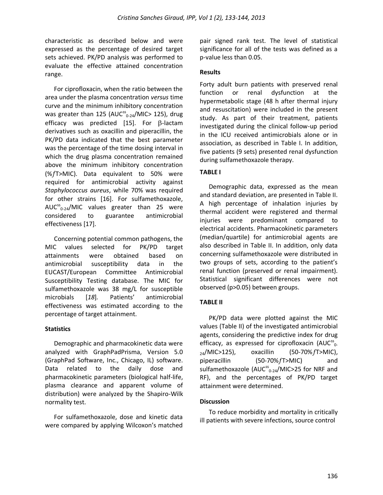characteristic as described below and were expressed as the percentage of desired target sets achieved. PK/PD analysis was performed to evaluate the effective attained concentration range.

For ciprofloxacin, when the ratio between the area under the plasma concentration *versus* time curve and the minimum inhibitory concentration was greater than 125 (AUC $_{_{0\text{-}24}}^{\text{ss}}$ /MIC> 125), drug efficacy was predicted [15]. For  $\beta$ -lactam derivatives such as oxacillin and piperacillin, the PK/PD data indicated that the best parameter was the percentage of the time dosing interval in which the drug plasma concentration remained above the minimum inhibitory concentration  $(X / T > M)$ C). Data equivalent to 50% were required for antimicrobial activity against *Staphylococcus aureus*, while 70% was required for other strains [16]. For sulfamethoxazole,  $AUC^{ss}_{0-24}/MIC$  values greater than 25 were considered to guarantee antimicrobial effectiveness [17].

Concerning potential common pathogens, the MIC values selected for PK/PD target attainments were obtained based on antimicrobial susceptibility data in the EUCAST/European Committee Antimicrobial Susceptibility Testing database. The MIC for sulfamethoxazole was 38 mg/L for susceptible microbials [*18*]*.* Patients' antimicrobial effectiveness was estimated according to the percentage of target attainment.

#### **Statistics**

Demographic and pharmacokinetic data were analyzed with GraphPadPrisma, Version 5.0 (GraphPad Software, Inc., Chicago, IL) software. Data related to the daily dose and pharmacokinetic parameters (biological half-life, plasma clearance and apparent volume of distribution) were analyzed by the Shapiro-Wilk normality test.

For sulfamethoxazole, dose and kinetic data were compared by applying Wilcoxon's matched

pair signed rank test. The level of statistical significance for all of the tests was defined as a p-value less than 0.05.

### **Results**

Forty adult burn patients with preserved renal function or renal dysfunction at the hypermetabolic stage (48 h after thermal injury and resuscitation) were included in the present study. As part of their treatment, patients investigated during the clinical follow-up period in the ICU received antimicrobials alone or in association, as described in Table I. In addition, five patients (9 sets) presented renal dysfunction during sulfamethoxazole therapy.

# **TABLE I**

Demographic data, expressed as the mean and standard deviation, are presented in Table II. A high percentage of inhalation injuries by thermal accident were registered and thermal injuries were predominant compared to electrical accidents. Pharmacokinetic parameters (median/quartile) for antimicrobial agents are also described in Table II. In addition, only data concerning sulfamethoxazole were distributed in two groups of sets, according to the patient's renal function (preserved or renal impairment). Statistical significant differences were not observed (p>0.05) between groups.

# **TABLE II**

PK/PD data were plotted against the MIC values (Table II) of the investigated antimicrobial agents, considering the predictive index for drug efficacy, as expressed for ciprofloxacin (AUC $^{ss}$ <sub>0</sub>.  $_{24}/$ MIC>125), oxacillin (50-70%  $f$ T>MIC), piperacillin (50-70% f T>MIC) and sulfamethoxazole (AUC<sup>ss</sup><sub>0-24</sub>/MIC>25 for NRF and RF), and the percentages of PK/PD target attainment were determined.

#### **Discussion**

To reduce morbidity and mortality in critically ill patients with severe infections, source control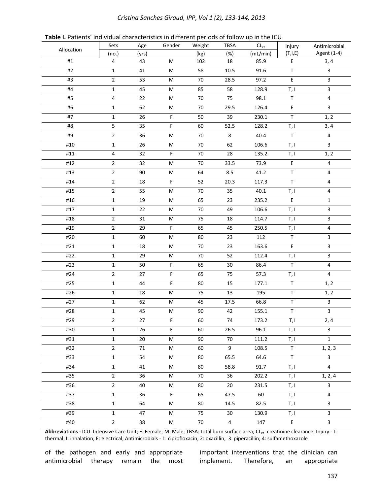#### *Cristina Sanches Giraud, IPP, Vol 1 (2), 133-144, 2013*

| Table I. Patients' individual characteristics in different periods of follow up in the ICU |  |  |  |  |
|--------------------------------------------------------------------------------------------|--|--|--|--|
|--------------------------------------------------------------------------------------------|--|--|--|--|

|            | Sets           | Age   | Gender      | Weight | <b>TBSA</b>    | $\mathsf{CL}_{\mathsf{cr}}$ | Injury         | Antimicrobial           |
|------------|----------------|-------|-------------|--------|----------------|-----------------------------|----------------|-------------------------|
| Allocation | (no.)          | (yrs) |             | (kg)   | (%)            | (mL/min)                    | (T,I,E)        | Agent (1-4)             |
| #1         | 4              | 43    | M           | 102    | 18             | 85.9                        | E              | 3, 4                    |
| #2         | $\mathbf{1}$   | 41    | M           | 58     | $10.5\,$       | 91.6                        | $\mathsf T$    | $\overline{3}$          |
| #3         | $\mathbf 2$    | 53    | M           | $70\,$ | 28.5           | 97.2                        | E              | $\overline{\mathbf{3}}$ |
| #4         | $\mathbf 1$    | 45    | M           | 85     | 58             | 128.9                       | T, I           | $\overline{\mathbf{3}}$ |
| #5         | 4              | 22    | M           | $70\,$ | 75             | 98.1                        | $\mathsf T$    | 4                       |
| #6         | $\mathbf{1}$   | 62    | M           | $70\,$ | 29.5           | 126.4                       | E              | $\overline{\mathbf{3}}$ |
| #7         | $\mathbf{1}$   | 26    | F           | 50     | 39             | 230.1                       | $\sf T$        | 1, 2                    |
| #8         | 5              | 35    | F           | 60     | 52.5           | 128.2                       | T, I           | 3, 4                    |
| #9         | $\overline{2}$ | 36    | M           | $70\,$ | 8              | 40.4                        | $\sf T$        | $\overline{4}$          |
| #10        | $\mathbf 1$    | 26    | M           | 70     | 62             | 106.6                       | T, I           | $\overline{3}$          |
| #11        | 4              | 32    | $\mathsf F$ | 70     | 28             | 135.2                       | T, I           | 1, 2                    |
| #12        | $\overline{2}$ | 32    | M           | $70\,$ | 33.5           | 73.9                        | $\mathsf E$    | $\overline{4}$          |
| #13        | $\overline{2}$ | 90    | M           | 64     | 8.5            | 41.2                        | $\sf T$        | 4                       |
| #14        | $\overline{2}$ | 18    | F           | 52     | 20.3           | 117.3                       | $\mathsf T$    | 4                       |
| #15        | $\overline{2}$ | 55    | M           | 70     | 35             | 40.1                        | T, I           | 4                       |
| #16        | $\mathbf 1$    | 19    | M           | 65     | 23             | 235.2                       | E              | $\mathbf{1}$            |
| #17        | $\mathbf 1$    | 22    | M           | $70\,$ | 49             | 106.6                       | T, I           | $\overline{\mathbf{3}}$ |
| #18        | $\overline{2}$ | 31    | M           | 75     | 18             | 114.7                       | T, I           | 3                       |
| #19        | $\overline{2}$ | 29    | F           | 65     | 45             | 250.5                       | T, I           | $\overline{\mathbf{4}}$ |
| #20        | $\mathbf 1$    | 60    | M           | 80     | 23             | 112                         | $\sf T$        | $\overline{\mathbf{3}}$ |
| #21        | $\mathbf{1}$   | 18    | M           | $70\,$ | 23             | 163.6                       | E              | $\overline{\mathbf{3}}$ |
| #22        | 1              | 29    | М           | 70     | 52             | 112.4                       | T, I           | $\mathbf{3}$            |
| #23        | $\mathbf{1}$   | 50    | F           | 65     | 30             | 86.4                        | $\top$         | $\pmb{4}$               |
| #24        | $\mathbf 2$    | 27    | $\mathsf F$ | 65     | 75             | 57.3                        | T, I           | $\overline{4}$          |
| #25        | $\mathbf{1}$   | 44    | F           | 80     | 15             | 177.1                       | $\top$         | 1, 2                    |
| #26        | $\mathbf 1$    | 18    | M           | 75     | 13             | 195                         | $\sf T$        | 1, 2                    |
| #27        | $\mathbf{1}$   | 62    | M           | 45     | 17.5           | 66.8                        | $\sf T$        | $\overline{\mathbf{3}}$ |
| #28        | $\mathbf 1$    | 45    | M           | 90     | 42             | 155.1                       | $\mathsf T$    | $\overline{\mathbf{3}}$ |
| #29        | 2              | 27    | F           | 60     | 74             | 173.2                       | T,I            | 2, 4                    |
| #30        | $\mathbf{1}$   | 26    | F.          | 60     | 26.5           | 96.1                        | T, I           | 3                       |
| #31        | $\mathbf{1}$   | 20    | M           | 90     | 70             | 111.2                       | T, I           | $\mathbf{1}$            |
| #32        | $2^{\circ}$    | 71    | M           | 60     | 9              | 108.5                       | $\mathsf T$    | 1, 2, 3                 |
| #33        | $\mathbf{1}$   | 54    | M           | 80     | 65.5           | 64.6                        | T              | $\overline{3}$          |
| #34        | $\mathbf{1}$   | 41    | M           | 80     | 58.8           | 91.7                        | T, I           | $\overline{4}$          |
| #35        | $2^{\circ}$    | 36    | M           | 70     | 36             | 202.2                       | T, I           | 1, 2, 4                 |
| #36        | $2^{\circ}$    | 40    | M           | 80     | 20             | 231.5                       | T, I           | $\mathbf{3}$            |
| #37        | $\mathbf{1}$   | 36    | F           | 65     | 47.5           | 60                          | T, I           | 4                       |
| #38        | $\mathbf{1}$   | 64    | M           | 80     | 14.5           | 82.5                        | T, I           | $\overline{3}$          |
| #39        | $\mathbf{1}$   | 47    | М           | 75     | 30             | 130.9                       | T, I           | $\overline{3}$          |
| #40        | $\overline{2}$ | 38    | M           | 70     | $\overline{4}$ | 147                         | $\mathsf{E}^-$ | $\overline{3}$          |

Abbreviations - ICU: Intensive Care Unit; F: Female; M: Male; TBSA: total burn surface area; CL<sub>cr</sub>: creatinine clearance; Injury - T: thermal; I: inhalation; E: electrical; Antimicrobials - 1: ciprofloxacin; 2: oxacillin; 3: piperacillin; 4: sulfamethoxazole

of the pathogen and early and appropriate antimicrobial therapy remain the most important interventions that the clinician can implement. Therefore, an appropriate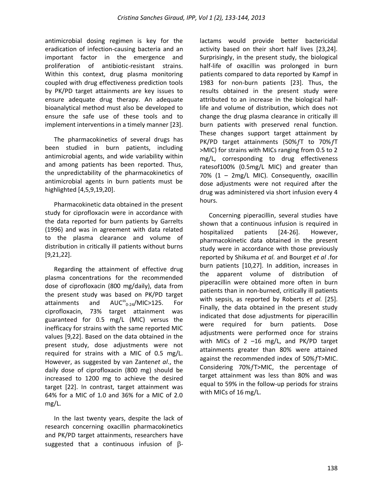antimicrobial dosing regimen is key for the eradication of infection-causing bacteria and an important factor in the emergence and proliferation of antibiotic-resistant strains. Within this context, drug plasma monitoring coupled with drug effectiveness prediction tools by PK/PD target attainments are key issues to ensure adequate drug therapy. An adequate bioanalytical method must also be developed to ensure the safe use of these tools and to implement interventions in a timely manner [23].

The pharmacokinetics of several drugs has been studied in burn patients, including antimicrobial agents, and wide variability within and among patients has been reported. Thus, the unpredictability of the pharmacokinetics of antimicrobial agents in burn patients must be highlighted [4,5,9,19,20].

Pharmacokinetic data obtained in the present study for ciprofloxacin were in accordance with the data reported for burn patients by Garrelts (1996) and was in agreement with data related to the plasma clearance and volume of distribution in critically ill patients without burns [9,21,22].

Regarding the attainment of effective drug plasma concentrations for the recommended dose of ciprofloxacin (800 mg/daily), data from the present study was based on PK/PD target attainments and  $AUC^{ss}$ <sub>0-24</sub>/MIC>125. For ciprofloxacin, 73% target attainment was guaranteed for 0.5 mg/L (MIC) versus the inefficacy for strains with the same reported MIC values [9,22]. Based on the data obtained in the present study, dose adjustments were not required for strains with a MIC of 0.5 mg/L. However, as suggested by van Zanten*et al*., the daily dose of ciprofloxacin (800 mg) should be increased to 1200 mg to achieve the desired target [22]. In contrast, target attainment was 64% for a MIC of 1.0 and 36% for a MIC of 2.0 mg/L.

In the last twenty years, despite the lack of research concerning oxacillin pharmacokinetics and PK/PD target attainments, researchers have suggested that a continuous infusion of  $\beta$ - lactams would provide better bactericidal activity based on their short half lives [23,24]. Surprisingly, in the present study, the biological half-life of oxacillin was prolonged in burn patients compared to data reported by Kampf in 1983 for non-burn patients [23]. Thus, the results obtained in the present study were attributed to an increase in the biological halflife and volume of distribution, which does not change the drug plasma clearance in critically ill burn patients with preserved renal function. These changes support target attainment by PK/PD target attainments (50% $fT$  to 70% $fT$ >MIC) for strains with MICs ranging from 0.5 to 2 mg/L, corresponding to drug effectiveness ratesof100% (0.5mg/L MIC) and greater than 70% (1 – 2mg/L MIC). Consequently, oxacillin dose adjustments were not required after the drug was administered via short infusion every 4 hours.

Concerning piperacillin, several studies have shown that a continuous infusion is required in hospitalized patients [24-26]. However, pharmacokinetic data obtained in the present study were in accordance with those previously reported by [Shikuma](http://www.ncbi.nlm.nih.gov/pubmed?term=%22Shikuma%20LR%22%5BAuthor%5D) *et al.* and Bourget *et al .*for burn patients [10,27]. In addition, increases in the apparent volume of distribution of piperacillin were obtained more often in burn patients than in non-burned, critically ill patients with sepsis, as reported by Roberts *et al.* [25]. Finally, the data obtained in the present study indicated that dose adjustments for piperacillin were required for burn patients. Dose adjustments were performed once for strains with MICs of 2 –16 mg/L, and PK/PD target attainments greater than 80% were attained against the recommended index of  $50\%$   $f$  >MIC. Considering 70% fT>MIC, the percentage of target attainment was less than 80% and was equal to 59% in the follow-up periods for strains with MICs of 16 mg/L.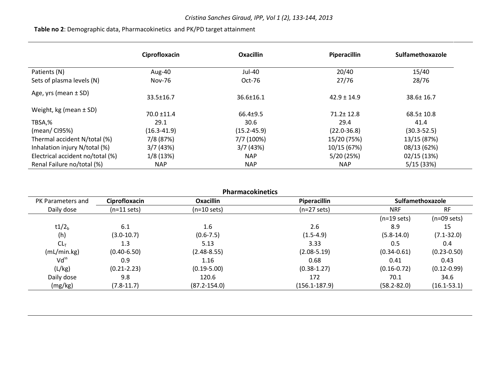# **Table no 2**: Demographic data, Pharmacokinetics and PK/PD target attainment

|                                  | Ciprofloxacin   | <b>Oxacillin</b> | Piperacillin    | Sulfamethoxazole |
|----------------------------------|-----------------|------------------|-----------------|------------------|
| Patients (N)                     | Aug-40          | Jul-40           | 20/40           | 15/40            |
| Sets of plasma levels (N)        | Nov-76          | Oct-76           | 27/76           | 28/76            |
| Age, yrs (mean $\pm$ SD)         | 33.5±16.7       | $36.6 \pm 16.1$  | $42.9 \pm 14.9$ | $38.6 \pm 16.7$  |
| Weight, kg (mean $\pm$ SD)       | $70.0 \pm 11.4$ | $66.4+9.5$       | $71.2 \pm 12.8$ | $68.5 \pm 10.8$  |
| TBSA,%                           | 29.1            | 30.6             | 29.4            | 41.4             |
| (mean/CI95%)                     | $(16.3 - 41.9)$ | $(15.2 - 45.9)$  | $(22.0 - 36.8)$ | $(30.3 - 52.5)$  |
| Thermal accident N/total (%)     | 7/8 (87%)       | 7/7 (100%)       | 15/20 (75%)     | 13/15 (87%)      |
| Inhalation injury N/total (%)    | 3/7(43%)        | 3/7(43%)         | 10/15 (67%)     | 08/13 (62%)      |
| Electrical accident no/total (%) | 1/8(13%)        | <b>NAP</b>       | 5/20(25%)       | 02/15 (13%)      |
| Renal Failure no/total (%)       | <b>NAP</b>      | <b>NAP</b>       | <b>NAP</b>      | 5/15(33%)        |

|                   | <b>Pharmacokinetics</b> |                       |                       |                       |                       |  |  |  |  |  |
|-------------------|-------------------------|-----------------------|-----------------------|-----------------------|-----------------------|--|--|--|--|--|
| PK Parameters and | Ciprofloxacin           | <b>Oxacillin</b>      | <b>Piperacillin</b>   |                       | Sulfamethoxazole      |  |  |  |  |  |
| Daily dose        | $(n=11 \text{ sets})$   | $(n=10 \text{ sets})$ | $(n=27 \text{ sets})$ | <b>NRF</b>            | <b>RF</b>             |  |  |  |  |  |
|                   |                         |                       |                       | $(n=19 \text{ sets})$ | $(n=09 \text{ sets})$ |  |  |  |  |  |
| t1/2 <sub>b</sub> | 6.1                     | $1.6\,$               | 2.6                   | 8.9                   | 15                    |  |  |  |  |  |
| (h)               | $(3.0-10.7)$            | $(0.6 - 7.5)$         | $(1.5-4.9)$           | $(5.8-14.0)$          | $(7.1 - 32.0)$        |  |  |  |  |  |
| CL <sub>T</sub>   | 1.3                     | 5.13                  | 3.33                  | 0.5                   | 0.4                   |  |  |  |  |  |
| (mL/min.kg)       | $(0.40 - 6.50)$         | $(2.48 - 8.55)$       | $(2.08 - 5.19)$       | $(0.34 - 0.61)$       | $(0.23 - 0.50)$       |  |  |  |  |  |
| $Vd^{ss}$         | 0.9                     | 1.16                  | 0.68                  | 0.41                  | 0.43                  |  |  |  |  |  |
| (L/kg)            | $(0.21 - 2.23)$         | $(0.19 - 5.00)$       | $(0.38 - 1.27)$       | $(0.16 - 0.72)$       | $(0.12 - 0.99)$       |  |  |  |  |  |
| Daily dose        | 9.8                     | 120.6                 | 172                   | 70.1                  | 34.6                  |  |  |  |  |  |
| (mg/kg)           | $(7.8-11.7)$            | $(87.2 - 154.0)$      | $(156.1 - 187.9)$     | $(58.2 - 82.0)$       | $(16.1 - 53.1)$       |  |  |  |  |  |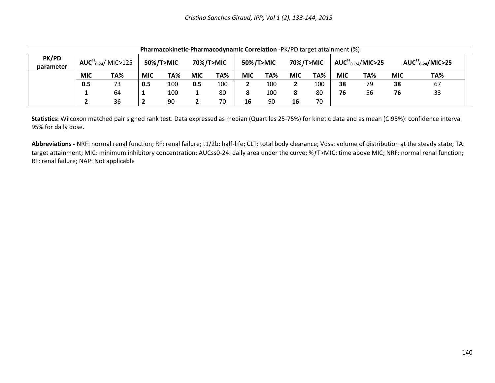| Pharmacokinetic-Pharmacodynamic Correlation -PK/PD target attainment (%) |                            |     |                          |     |            |     |            |     |                          |     |                          |     |            |     |
|--------------------------------------------------------------------------|----------------------------|-----|--------------------------|-----|------------|-----|------------|-----|--------------------------|-----|--------------------------|-----|------------|-----|
| PK/PD<br>parameter                                                       | $AUC^{ss}_{0.24}/$ MIC>125 |     | 50% fT>MIC<br>70% fT>MIC |     | 50% fT>MIC |     | 70% fT>MIC |     | $AUC^{ss}_{0.24}/MIC>25$ |     | $AUC^{ss}_{0.24}/MIC>25$ |     |            |     |
|                                                                          | <b>MIC</b>                 | TA% | <b>MIC</b>               | TA% | <b>MIC</b> | TA% | <b>MIC</b> | TA% | <b>MIC</b>               | TA% | <b>MIC</b>               | TA% | <b>MIC</b> | TA% |
|                                                                          | 0.5                        | 73  | 0.5                      | 100 | 0.5        | 100 |            | 100 |                          | 100 | 38                       | 79  | 38         | 67  |
|                                                                          |                            | 64  | л.                       | 100 | ı.         | 80  | ο          | 100 |                          | 80  | 76                       | 56  | 76         | 33  |
|                                                                          |                            | 36  | 2                        | 90  | 2          | 70  | 16         | 90  | 16                       | 70  |                          |     |            |     |

**Statistics:** Wilcoxon matched pair signed rank test. Data expressed as median (Quartiles 25-75%) for kinetic data and as mean (CI95%): confidence interval 95% for daily dose.

**Abbreviations -** NRF: normal renal function; RF: renal failure; t1/2b: half-life; CLT: total body clearance; Vdss: volume of distribution at the steady state; TA: target attainment; MIC: minimum inhibitory concentration; AUCss0-24: daily area under the curve; %fT>MIC: time above MIC; NRF: normal renal function; RF: renal failure; NAP: Not applicable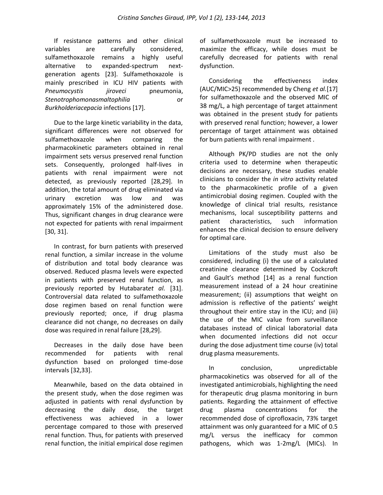If resistance patterns and other clinical variables are carefully considered, sulfamethoxazole remains a highly useful alternative to expanded-spectrum nextgeneration agents [23]. Sulfamethoxazole is mainly prescribed in ICU HIV patients with *Pneumocystis iiroveci* pneumonia, *Stenotrophomonasmaltophilia* or *Burkholderiacepacia* infections [17].

Due to the large kinetic variability in the data, significant differences were not observed for sulfamethoxazole when comparing the pharmacokinetic parameters obtained in renal impairment sets versus preserved renal function sets. Consequently, prolonged half-lives in patients with renal impairment were not detected, as previously reported [28,29]. In addition, the total amount of drug eliminated via urinary excretion was low and was approximately 15% of the administered dose. Thus, significant changes in drug clearance were not expected for patients with renal impairment [30, 31].

In contrast, for burn patients with preserved renal function, a similar increase in the volume of distribution and total body clearance was observed. Reduced plasma levels were expected in patients with preserved renal function, as previously reported by Hutabarat*et al.* [31]. Controversial data related to sulfamethoxazole dose regimen based on renal function were previously reported; once, if drug plasma clearance did not change, no decreases on daily dose was required in renal failure [28,29].

Decreases in the daily dose have been recommended for patients with renal dysfunction based on prolonged time-dose intervals [32,33].

Meanwhile, based on the data obtained in the present study, when the dose regimen was adjusted in patients with renal dysfunction by decreasing the daily dose, the target effectiveness was achieved in a lower percentage compared to those with preserved renal function. Thus, for patients with preserved renal function, the initial empirical dose regimen

of sulfamethoxazole must be increased to maximize the efficacy, while doses must be carefully decreased for patients with renal dysfunction.

Considering the effectiveness index (AUC/MIC>25) recommended by Cheng *et al.*[17] for sulfamethoxazole and the observed MIC of 38 mg/L, a high percentage of target attainment was obtained in the present study for patients with preserved renal function; however, a lower percentage of target attainment was obtained for burn patients with renal impairment .

Although PK/PD studies are not the only criteria used to determine when therapeutic decisions are necessary, these studies enable clinicians to consider the *in vitro* activity related to the pharmacokinetic profile of a given antimicrobial dosing regimen. Coupled with the knowledge of clinical trial results, resistance mechanisms, local susceptibility patterns and patient characteristics, such information enhances the clinical decision to ensure delivery for optimal care.

Limitations of the study must also be considered, including (i) the use of a calculated creatinine clearance determined by Cockcroft and Gault's method [14] as a renal function measurement instead of a 24 hour creatinine measurement; (ii) assumptions that weight on admission is reflective of the patients' weight throughout their entire stay in the ICU; and (iii) the use of the MIC value from surveillance databases instead of clinical laboratorial data when documented infections did not occur during the dose adjustment time course (iv) total drug plasma measurements.

In conclusion, unpredictable pharmacokinetics was observed for all of the investigated antimicrobials, highlighting the need for therapeutic drug plasma monitoring in burn patients. Regarding the attainment of effective drug plasma concentrations for the recommended dose of ciprofloxacin, 73% target attainment was only guaranteed for a MIC of 0.5 mg/L versus the inefficacy for common pathogens, which was 1-2mg/L (MICs). In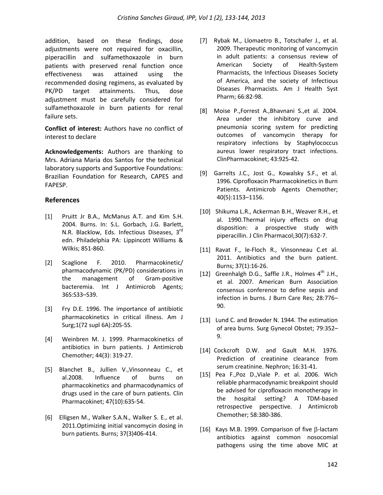addition, based on these findings, dose adjustments were not required for oxacillin, piperacillin and sulfamethoxazole in burn patients with preserved renal function once effectiveness was attained using the recommended dosing regimens, as evaluated by PK/PD target attainments. Thus, dose adjustment must be carefully considered for sulfamethoxazole in burn patients for renal failure sets.

**Conflict of interest:** Authors have no conflict of interest to declare

**Acknowledgements:** Authors are thanking to Mrs. Adriana Maria dos Santos for the technical laboratory supports and Supportive Foundations: Brazilian Foundation for Research, CAPES and FAPESP.

### **References**

- [1] Pruitt Jr B.A., McManus A.T. and Kim S.H. 2004. Burns. In: S.L. Gorbach, J.G. Barlett, N.R. Blacklow, Eds. Infectious Diseases, 3rd edn. Philadelphia PA: Lippincott Williams & Wilkis; 851-860.
- [2] Scaglione F. 2010. Pharmacokinetic/ pharmacodynamic (PK/PD) considerations in the management of Gram-positive bacteremia. Int J Antimicrob Agents; 36S:S33–S39.
- [3] Fry D.E. 1996. The importance of antibiotic pharmacokinetics in critical illness. Am J Surg;1(72 supl 6A):20S-5S.
- [4] [Weinbren](http://www.ncbi.nlm.nih.gov/pubmed?term=%22Weinbren%20MJ%22%5BAuthor%5D) M. J. 1999. Pharmacokinetics of antibiotics in burn patients. [J Antimicrob](http://www.ncbi.nlm.nih.gov/pubmed/10511398##) [Chemother;](http://www.ncbi.nlm.nih.gov/pubmed/10511398##) 44(3): 319-27.
- [5] Blanchet B., Jullien V.,Vinsonneau C., et al.2008. [Influence of burns on](http://www.ncbi.nlm.nih.gov/pubmed/18783295)  [pharmacokinetics and pharmacodynamics of](http://www.ncbi.nlm.nih.gov/pubmed/18783295)  [drugs used in the care of burn patients.](http://www.ncbi.nlm.nih.gov/pubmed/18783295) Clin Pharmacokinet; 47(10):635-54.
- [6] Elligsen M., Walker S.A.N., Walker S. E., et al. 2011.Optimizing initial vancomycin dosing in burn patients. Burns; 37(3)406-414.
- [7] Rybak M., Llomaetro B., Totschafer J., et al. 2009. Therapeutic monitoring of vancomycin in adult patients: a consensus review of American Society of Health-System Pharmacists, the Infectious Diseases Society of America, and the society of Infectious Diseases Pharmacists. Am J Health Syst Pharm; 66:82-98.
- [8] Moise P.,Forrest A.,Bhavnani S.,et al. 2004. Area under the inhibitory curve and pneumonia scoring system for predicting outcomes of vancomycin therapy for respiratory infections by Staphylococcus aureus lower respiratory tract infections. ClinPharmacokinet; 43:925-42.
- [9] Garrelts J.C., Jost G., Kowalsky S.F., et al. 1996. Ciprofloxacin Pharmacokinetics in Burn Patients. Antimicrob Agents Chemother; 40(5):1153–1156.
- [10] [Shikuma](http://www.ncbi.nlm.nih.gov/pubmed?term=%22Shikuma%20LR%22%5BAuthor%5D) L.R., [Ackerman](http://www.ncbi.nlm.nih.gov/pubmed?term=%22Ackerman%20BH%22%5BAuthor%5D) B.H.[, Weaver](http://www.ncbi.nlm.nih.gov/pubmed?term=%22Weaver%20RH%22%5BAuthor%5D) R.H., et al. 1990.Thermal injury effects on drug disposition: a prospective study with piperacillin[. J Clin Pharmacol;](javascript:AL_get(this,%20)30(7):632-7.
- [11] [Ravat](http://www.ncbi.nlm.nih.gov/pubmed?term=%22Ravat%20F%22%5BAuthor%5D) F., [le-Floch](http://www.ncbi.nlm.nih.gov/pubmed?term=%22Le-Floch%20R%22%5BAuthor%5D) R., [Vinsonneau](http://www.ncbi.nlm.nih.gov/pubmed?term=%22Vinsonneau%20C%22%5BAuthor%5D) C.et al. 2011. Antibiotics and the burn patient. [Burns;](javascript:AL_get(this,%20) 37(1):16-26.
- [12] Greenhalgh D.G., Saffle J.R., Holmes  $4^{\text{th}}$  J.H., et al. 2007. American Burn Association consensus conference to define sepsis and infection in burns. J Burn Care Res; 28:776– 90.
- [13] Lund C. and Browder N. 1944. The estimation of area burns. Surg Gynecol Obstet; 79:352– 9.
- [14] Cockcroft D.W. and Gault M.H. 1976. Prediction of creatinine clearance from serum creatinine. Nephron; 16:31-41.
- [15] Pea F.,Poz D.,Viale P. et al. 2006. Wich reliable pharmacodynamic breakpoint should be advised for ciprofloxacin monotherapy in the hospital setting? A TDM-based retrospective perspective. J Antimicrob Chemother; 58:380-386.
- [16] Kays M.B. 1999. Comparison of five  $\beta$ -lactam antibiotics against common nosocomial pathogens using the time above MIC at